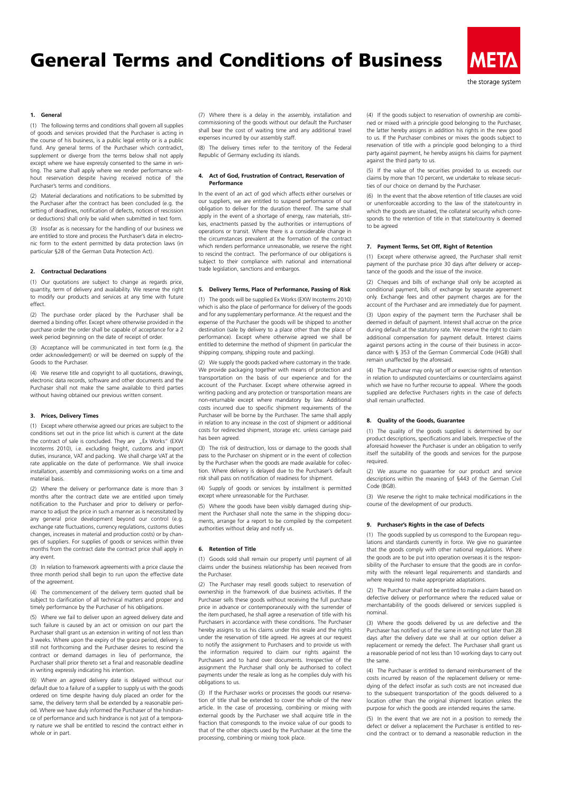# General Terms and Conditions of Business



## **1. General**

(1) The following terms and conditions shall govern all supplies of goods and services provided that the Purchaser is acting in the course of his business, is a public legal entity or is a public fund. Any general terms of the Purchaser which contradict, supplement or diverge from the terms below shall not apply except where we have expressly consented to the same in writing. The same shall apply where we render performance without reservation despite having received notice of the Purchaser's terms and conditions.

(2) Material declarations and notifications to be submitted by the Purchaser after the contract has been concluded (e.g. the setting of deadlines, notification of defects, notices of rescission or deductions) shall only be valid when submitted in text form.

(3) Insofar as is necessary for the handling of our business we are entitled to store and process the Purchaser's data in electronic form to the extent permitted by data protection laws (in particular §28 of the German Data Protection Act).

# **2. Contractual Declarations**

(1) Our quotations are subject to change as regards price, quantity, term of delivery and availability. We reserve the right to modify our products and services at any time with future effect.

(2) The purchase order placed by the Purchaser shall be deemed a binding offer. Except where otherwise provided in the purchase order the order shall be capable of acceptance for a 2 week period beginning on the date of receipt of order.

(3) Acceptance will be communicated in text form (e.g. the order acknowledgement) or will be deemed on supply of the Goods to the Purchaser.

(4) We reserve title and copyright to all quotations, drawings, electronic data records, software and other documents and the Purchaser shall not make the same available to third parties without having obtained our previous written consent.

## **3. Prices, Delivery Times**

(1) Except where otherwise agreed our prices are subject to the conditions set out in the price list which is current at the date the contract of sale is concluded. They are "Ex Works" (EXW Incoterms 2010), i.e. excluding freight, customs and import duties, insurance, VAT and packing. We shall charge VAT at the rate applicable on the date of performance. We shall invoice installation, assembly and commissioning works on a time and material basis.

(2) Where the delivery or performance date is more than 3 months after the contract date we are entitled upon timely notification to the Purchaser and prior to delivery or performance to adjust the price in such a manner as is necessitated by any general price development beyond our control (e.g. exchange rate fluctuations, currency regulations, customs duties changes, increases in material and production costs) or by changes of suppliers. For supplies of goods or services within three months from the contract date the contract price shall apply in any event.

(3) In relation to framework agreements with a price clause the three month period shall begin to run upon the effective date of the agreement.

(4) The commencement of the delivery term quoted shall be subject to clarification of all technical matters and proper and timely performance by the Purchaser of his obligations.

(5) Where we fail to deliver upon an agreed delivery date and such failure is caused by an act or omission on our part the Purchaser shall grant us an extension in writing of not less than 3 weeks. Where upon the expiry of the grace period, delivery is still not forthcoming and the Purchaser desires to rescind the contract or demand damages in lieu of performance, the Purchaser shall prior thereto set a final and reasonable deadline in writing expressly indicating his intention.

(6) Where an agreed delivery date is delayed without our default due to a failure of a supplier to supply us with the goods ordered on time despite having duly placed an order for the same, the delivery term shall be extended by a reasonable period. Where we have duly informed the Purchaser of the hindrance of performance and such hindrance is not just of a temporary nature we shall be entitled to rescind the contract either in whole or in part.

(7) Where there is a delay in the assembly, installation and commissioning of the goods without our default the Purchaser shall bear the cost of waiting time and any additional travel expenses incurred by our assembly staff.

(8) The delivery times refer to the territory of the Federal Republic of Germany excluding its islands.

### **4. Act of God, Frustration of Contract, Reservation of Performance**

In the event of an act of god which affects either ourselves or our suppliers, we are entitled to suspend performance of our obligation to deliver for the duration thereof. The same shall apply in the event of a shortage of energy, raw materials, strikes, enactments passed by the authorities or interruptions of operations or transit. Where there is a considerable change in the circumstances prevalent at the formation of the contract which renders performance unreasonable, we reserve the right to rescind the contract. The performance of our obligations is subject to their compliance with national and international trade legislation, sanctions and embargos.

#### **5. Delivery Terms, Place of Performance, Passing of Risk**

(1) The goods will be supplied Ex Works (EXW Incoterms 2010) which is also the place of performance for delivery of the goods and for any supplementary performance. At the request and the expense of the Purchaser the goods will be shipped to another destination (sale by delivery to a place other than the place of performance). Except where otherwise agreed we shall be entitled to determine the method of shipment (in particular the shipping company, shipping route and packing).

(2) We supply the goods packed where customary in the trade. We provide packaging together with means of protection and transportation on the basis of our experience and for the account of the Purchaser. Except where otherwise agreed in writing packing and any protection or transportation means are non-returnable except where mandatory by law. Additional costs incurred due to specific shipment requirements of the Purchaser will be borne by the Purchaser. The same shall apply in relation to any increase in the cost of shipment or additional costs for redirected shipment, storage etc. unless carriage paid has been agreed.

(3) The risk of destruction, loss or damage to the goods shall pass to the Purchaser on shipment or in the event of collection by the Purchaser when the goods are made available for collection. Where delivery is delayed due to the Purchaser's default risk shall pass on notification of readiness for shipment.

(4) Supply of goods or services by installment is permitted except where unreasonable for the Purchaser.

(5) Where the goods have been visibly damaged during shipment the Purchaser shall note the same in the shipping documents, arrange for a report to be compiled by the competent authorities without delay and notify us.

# **6. Retention of Title**

(1) Goods sold shall remain our property until payment of all claims under the business relationship has been received from the Purchaser.

(2) The Purchaser may resell goods subject to reservation of ownership in the framework of due business activities. If the Purchaser sells these goods without receiving the full purchase price in advance or contemporaneously with the surrender of the item purchased, he shall agree a reservation of title with his Purchasers in accordance with these conditions. The Purchaser hereby assigns to us his claims under this resale and the rights under the reservation of title agreed. He agrees at our request to notify the assignment to Purchasers and to provide us with the information required to claim our rights against the Purchasers and to hand over documents. Irrespective of the assignment the Purchaser shall only be authorised to collect payments under the resale as long as he complies duly with his obligations to us.

(3) If the Purchaser works or processes the goods our reservation of title shall be extended to cover the whole of the new article. In the case of processing, combining or mixing with external goods by the Purchaser we shall acquire title in the fraction that corresponds to the invoice value of our goods to that of the other objects used by the Purchaser at the time the processing, combining or mixing took place.

(4) If the goods subject to reservation of ownership are combined or mixed with a principle good belonging to the Purchaser, the latter hereby assigns in addition his rights in the new good to us. If the Purchaser combines or mixes the goods subject to reservation of title with a principle good belonging to a third party against payment, he hereby assigns his claims for payment against the third party to us.

(5) If the value of the securities provided to us exceeds our claims by more than 10 percent, we undertake to release securities of our choice on demand by the Purchaser.

(6) In the event that the above retention of title clauses are void or unenforceable according to the law of the state/country in which the goods are situated, the collateral security which corresponds to the retention of title in that state/country is deemed to be agreed

# **7. Payment Terms, Set Off, Right of Retention**

(1) Except where otherwise agreed, the Purchaser shall remit payment of the purchase price 30 days after delivery or acceptance of the goods and the issue of the invoice.

(2) Cheques and bills of exchange shall only be accepted as conditional payment, bills of exchange by separate agreement only. Exchange fees and other payment charges are for the account of the Purchaser and are immediately due for payment.

(3) Upon expiry of the payment term the Purchaser shall be deemed in default of payment. Interest shall accrue on the price during default at the statutory rate. We reserve the right to claim additional compensation for payment default. Interest claims against persons acting in the course of their business in accordance with § 353 of the German Commercial Code (HGB) shall remain unaffected by the aforesaid.

(4) The Purchaser may only set off or exercise rights of retention in relation to undisputed counterclaims or counterclaims against which we have no further recourse to appeal. Where the goods supplied are defective Purchasers rights in the case of defects shall remain unaffected.

# **8. Quality of the Goods, Guarantee**

(1) The quality of the goods supplied is determined by our product descriptions, specifications and labels. Irrespective of the aforesaid however the Purchaser is under an obligation to verify itself the suitability of the goods and services for the purpose required.

(2) We assume no guarantee for our product and service descriptions within the meaning of §443 of the German Civil Code (BGB)

(3) We reserve the right to make technical modifications in the course of the development of our products.

#### **9. Purchaser's Rights in the case of Defects**

(1) The goods supplied by us correspond to the European regulations and standards currently in force. We give no guarantee that the goods comply with other national regulations. Where the goods are to be put into operation overseas it is the responsibility of the Purchaser to ensure that the goods are in conformity with the relevant legal requirements and standards and where required to make appropriate adaptations.

(2) The Purchaser shall not be entitled to make a claim based on defective delivery or performance where the reduced value or merchantability of the goods delivered or services supplied is nominal.

(3) Where the goods delivered by us are defective and the Purchaser has notified us of the same in writing not later than 28 days after the delivery date we shall at our option deliver a replacement or remedy the defect. The Purchaser shall grant us a reasonable period of not less than 10 working days to carry out the same.

(4) The Purchaser is entitled to demand reimbursement of the costs incurred by reason of the replacement delivery or remedying of the defect insofar as such costs are not increased due to the subsequent transportation of the goods delivered to a location other than the original shipment location unless the purpose for which the goods are intended requires the same

(5) In the event that we are not in a position to remedy the defect or deliver a replacement the Purchaser is entitled to rescind the contract or to demand a reasonable reduction in the